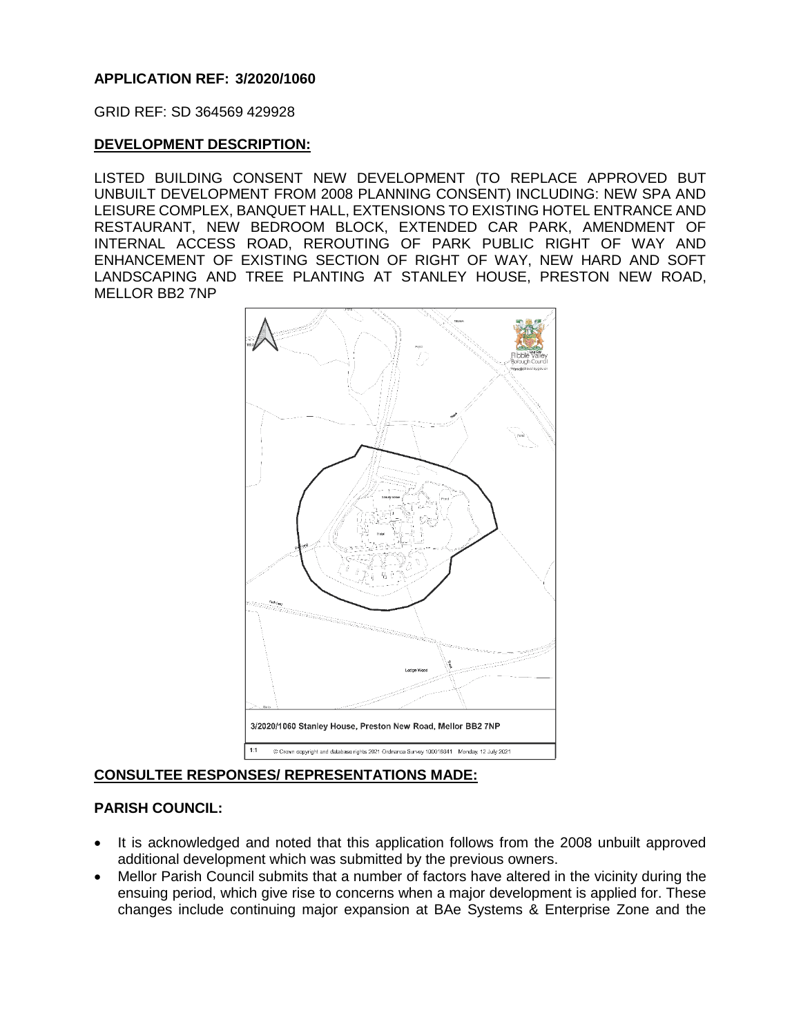### **APPLICATION REF: 3/2020/1060**

GRID REF: SD 364569 429928

### **DEVELOPMENT DESCRIPTION:**

LISTED BUILDING CONSENT NEW DEVELOPMENT (TO REPLACE APPROVED BUT UNBUILT DEVELOPMENT FROM 2008 PLANNING CONSENT) INCLUDING: NEW SPA AND LEISURE COMPLEX, BANQUET HALL, EXTENSIONS TO EXISTING HOTEL ENTRANCE AND RESTAURANT, NEW BEDROOM BLOCK, EXTENDED CAR PARK, AMENDMENT OF INTERNAL ACCESS ROAD, REROUTING OF PARK PUBLIC RIGHT OF WAY AND ENHANCEMENT OF EXISTING SECTION OF RIGHT OF WAY, NEW HARD AND SOFT LANDSCAPING AND TREE PLANTING AT STANLEY HOUSE, PRESTON NEW ROAD, MELLOR BB2 7NP



#### **CONSULTEE RESPONSES/ REPRESENTATIONS MADE:**

#### **PARISH COUNCIL:**

- It is acknowledged and noted that this application follows from the 2008 unbuilt approved additional development which was submitted by the previous owners.
- Mellor Parish Council submits that a number of factors have altered in the vicinity during the ensuing period, which give rise to concerns when a major development is applied for. These changes include continuing major expansion at BAe Systems & Enterprise Zone and the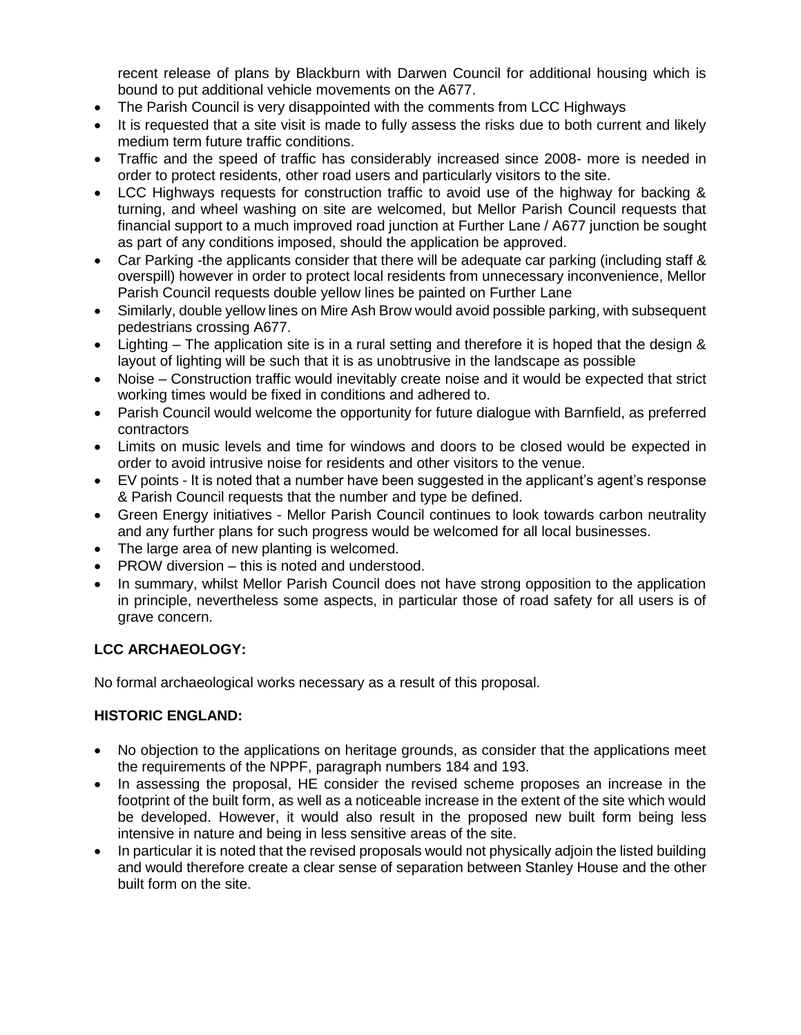recent release of plans by Blackburn with Darwen Council for additional housing which is bound to put additional vehicle movements on the A677.

- The Parish Council is very disappointed with the comments from LCC Highways
- It is requested that a site visit is made to fully assess the risks due to both current and likely medium term future traffic conditions.
- Traffic and the speed of traffic has considerably increased since 2008- more is needed in order to protect residents, other road users and particularly visitors to the site.
- LCC Highways requests for construction traffic to avoid use of the highway for backing & turning, and wheel washing on site are welcomed, but Mellor Parish Council requests that financial support to a much improved road junction at Further Lane / A677 junction be sought as part of any conditions imposed, should the application be approved.
- Car Parking -the applicants consider that there will be adequate car parking (including staff & overspill) however in order to protect local residents from unnecessary inconvenience, Mellor Parish Council requests double yellow lines be painted on Further Lane
- Similarly, double yellow lines on Mire Ash Brow would avoid possible parking, with subsequent pedestrians crossing A677.
- Lighting The application site is in a rural setting and therefore it is hoped that the design & layout of lighting will be such that it is as unobtrusive in the landscape as possible
- Noise Construction traffic would inevitably create noise and it would be expected that strict working times would be fixed in conditions and adhered to.
- Parish Council would welcome the opportunity for future dialogue with Barnfield, as preferred contractors
- Limits on music levels and time for windows and doors to be closed would be expected in order to avoid intrusive noise for residents and other visitors to the venue.
- EV points It is noted that a number have been suggested in the applicant's agent's response & Parish Council requests that the number and type be defined.
- Green Energy initiatives Mellor Parish Council continues to look towards carbon neutrality and any further plans for such progress would be welcomed for all local businesses.
- The large area of new planting is welcomed.
- PROW diversion this is noted and understood.
- In summary, whilst Mellor Parish Council does not have strong opposition to the application in principle, nevertheless some aspects, in particular those of road safety for all users is of grave concern.

## **LCC ARCHAEOLOGY:**

No formal archaeological works necessary as a result of this proposal.

## **HISTORIC ENGLAND:**

- No objection to the applications on heritage grounds, as consider that the applications meet the requirements of the NPPF, paragraph numbers 184 and 193.
- In assessing the proposal, HE consider the revised scheme proposes an increase in the footprint of the built form, as well as a noticeable increase in the extent of the site which would be developed. However, it would also result in the proposed new built form being less intensive in nature and being in less sensitive areas of the site.
- In particular it is noted that the revised proposals would not physically adjoin the listed building and would therefore create a clear sense of separation between Stanley House and the other built form on the site.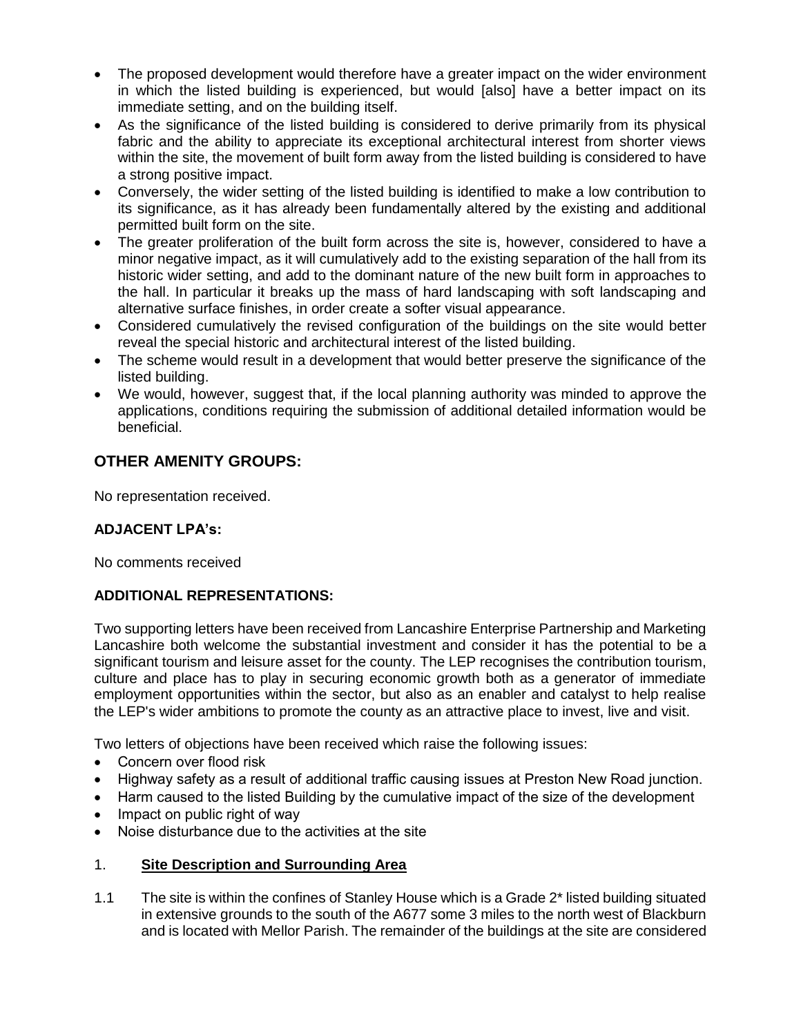- The proposed development would therefore have a greater impact on the wider environment in which the listed building is experienced, but would [also] have a better impact on its immediate setting, and on the building itself.
- As the significance of the listed building is considered to derive primarily from its physical fabric and the ability to appreciate its exceptional architectural interest from shorter views within the site, the movement of built form away from the listed building is considered to have a strong positive impact.
- Conversely, the wider setting of the listed building is identified to make a low contribution to its significance, as it has already been fundamentally altered by the existing and additional permitted built form on the site.
- The greater proliferation of the built form across the site is, however, considered to have a minor negative impact, as it will cumulatively add to the existing separation of the hall from its historic wider setting, and add to the dominant nature of the new built form in approaches to the hall. In particular it breaks up the mass of hard landscaping with soft landscaping and alternative surface finishes, in order create a softer visual appearance.
- Considered cumulatively the revised configuration of the buildings on the site would better reveal the special historic and architectural interest of the listed building.
- The scheme would result in a development that would better preserve the significance of the listed building.
- We would, however, suggest that, if the local planning authority was minded to approve the applications, conditions requiring the submission of additional detailed information would be beneficial.

# **OTHER AMENITY GROUPS:**

No representation received.

## **ADJACENT LPA's:**

No comments received

## **ADDITIONAL REPRESENTATIONS:**

Two supporting letters have been received from Lancashire Enterprise Partnership and Marketing Lancashire both welcome the substantial investment and consider it has the potential to be a significant tourism and leisure asset for the county. The LEP recognises the contribution tourism, culture and place has to play in securing economic growth both as a generator of immediate employment opportunities within the sector, but also as an enabler and catalyst to help realise the LEP's wider ambitions to promote the county as an attractive place to invest, live and visit.

Two letters of objections have been received which raise the following issues:

- Concern over flood risk
- Highway safety as a result of additional traffic causing issues at Preston New Road junction.
- Harm caused to the listed Building by the cumulative impact of the size of the development
- Impact on public right of way
- Noise disturbance due to the activities at the site

### 1. **Site Description and Surrounding Area**

1.1 The site is within the confines of Stanley House which is a Grade 2\* listed building situated in extensive grounds to the south of the A677 some 3 miles to the north west of Blackburn and is located with Mellor Parish. The remainder of the buildings at the site are considered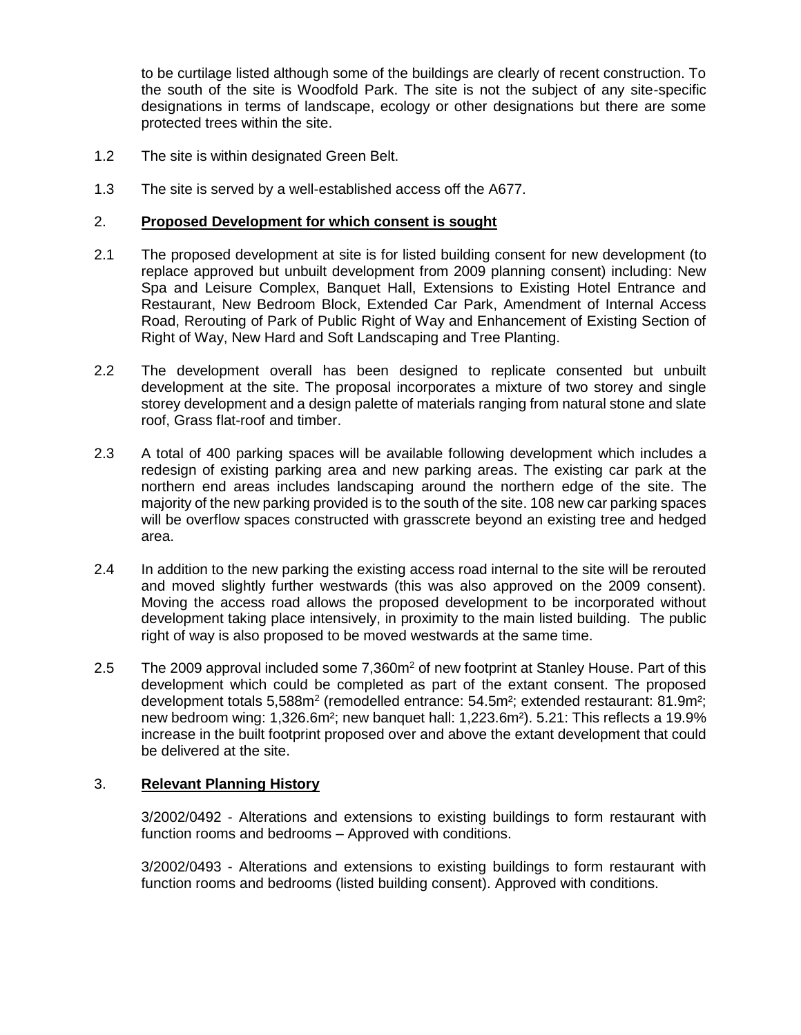to be curtilage listed although some of the buildings are clearly of recent construction. To the south of the site is Woodfold Park. The site is not the subject of any site-specific designations in terms of landscape, ecology or other designations but there are some protected trees within the site.

- 1.2 The site is within designated Green Belt.
- 1.3 The site is served by a well-established access off the A677.

#### 2. **Proposed Development for which consent is sought**

- 2.1 The proposed development at site is for listed building consent for new development (to replace approved but unbuilt development from 2009 planning consent) including: New Spa and Leisure Complex, Banquet Hall, Extensions to Existing Hotel Entrance and Restaurant, New Bedroom Block, Extended Car Park, Amendment of Internal Access Road, Rerouting of Park of Public Right of Way and Enhancement of Existing Section of Right of Way, New Hard and Soft Landscaping and Tree Planting.
- 2.2 The development overall has been designed to replicate consented but unbuilt development at the site. The proposal incorporates a mixture of two storey and single storey development and a design palette of materials ranging from natural stone and slate roof, Grass flat-roof and timber.
- 2.3 A total of 400 parking spaces will be available following development which includes a redesign of existing parking area and new parking areas. The existing car park at the northern end areas includes landscaping around the northern edge of the site. The majority of the new parking provided is to the south of the site. 108 new car parking spaces will be overflow spaces constructed with grasscrete beyond an existing tree and hedged area.
- 2.4 In addition to the new parking the existing access road internal to the site will be rerouted and moved slightly further westwards (this was also approved on the 2009 consent). Moving the access road allows the proposed development to be incorporated without development taking place intensively, in proximity to the main listed building. The public right of way is also proposed to be moved westwards at the same time.
- 2.5 The 2009 approval included some 7,360m<sup>2</sup> of new footprint at Stanley House. Part of this development which could be completed as part of the extant consent. The proposed development totals 5,588m<sup>2</sup> (remodelled entrance: 54.5m<sup>2</sup>; extended restaurant: 81.9m<sup>2</sup>; new bedroom wing: 1,326.6m²; new banquet hall: 1,223.6m²). 5.21: This reflects a 19.9% increase in the built footprint proposed over and above the extant development that could be delivered at the site.

#### 3. **Relevant Planning History**

3/2002/0492 - Alterations and extensions to existing buildings to form restaurant with function rooms and bedrooms – Approved with conditions.

3/2002/0493 - Alterations and extensions to existing buildings to form restaurant with function rooms and bedrooms (listed building consent). Approved with conditions.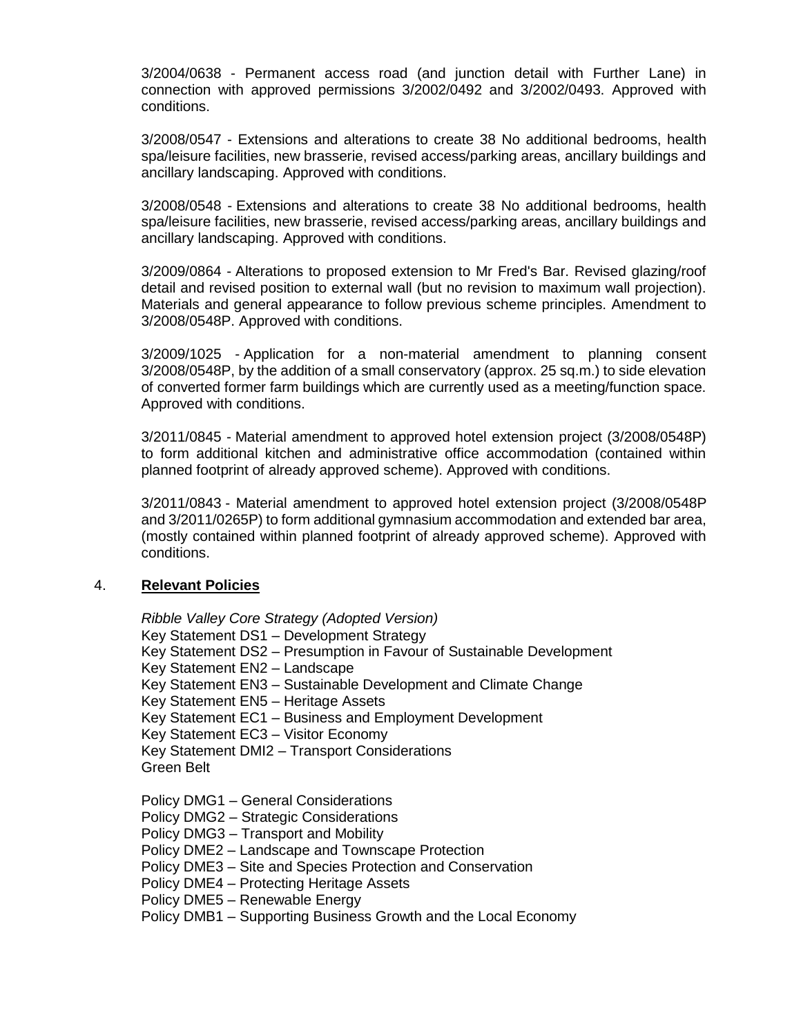3/2004/0638 - Permanent access road (and junction detail with Further Lane) in connection with approved permissions 3/2002/0492 and 3/2002/0493. Approved with conditions.

3/2008/0547 - Extensions and alterations to create 38 No additional bedrooms, health spa/leisure facilities, new brasserie, revised access/parking areas, ancillary buildings and ancillary landscaping. Approved with conditions.

3/2008/0548 - Extensions and alterations to create 38 No additional bedrooms, health spa/leisure facilities, new brasserie, revised access/parking areas, ancillary buildings and ancillary landscaping. Approved with conditions.

3/2009/0864 - Alterations to proposed extension to Mr Fred's Bar. Revised glazing/roof detail and revised position to external wall (but no revision to maximum wall projection). Materials and general appearance to follow previous scheme principles. Amendment to 3/2008/0548P. Approved with conditions.

3/2009/1025 - Application for a non-material amendment to planning consent 3/2008/0548P, by the addition of a small conservatory (approx. 25 sq.m.) to side elevation of converted former farm buildings which are currently used as a meeting/function space. Approved with conditions.

3/2011/0845 - Material amendment to approved hotel extension project (3/2008/0548P) to form additional kitchen and administrative office accommodation (contained within planned footprint of already approved scheme). Approved with conditions.

3/2011/0843 - Material amendment to approved hotel extension project (3/2008/0548P and 3/2011/0265P) to form additional gymnasium accommodation and extended bar area, (mostly contained within planned footprint of already approved scheme). Approved with conditions.

#### 4. **Relevant Policies**

*Ribble Valley Core Strategy (Adopted Version)* Key Statement DS1 – Development Strategy Key Statement DS2 – Presumption in Favour of Sustainable Development Key Statement EN2 – Landscape Key Statement EN3 – Sustainable Development and Climate Change Key Statement EN5 – Heritage Assets Key Statement EC1 – Business and Employment Development Key Statement EC3 – Visitor Economy Key Statement DMI2 – Transport Considerations Green Belt

Policy DMG1 – General Considerations

- Policy DMG2 Strategic Considerations
- Policy DMG3 Transport and Mobility
- Policy DME2 Landscape and Townscape Protection
- Policy DME3 Site and Species Protection and Conservation
- Policy DME4 Protecting Heritage Assets
- Policy DME5 Renewable Energy
- Policy DMB1 Supporting Business Growth and the Local Economy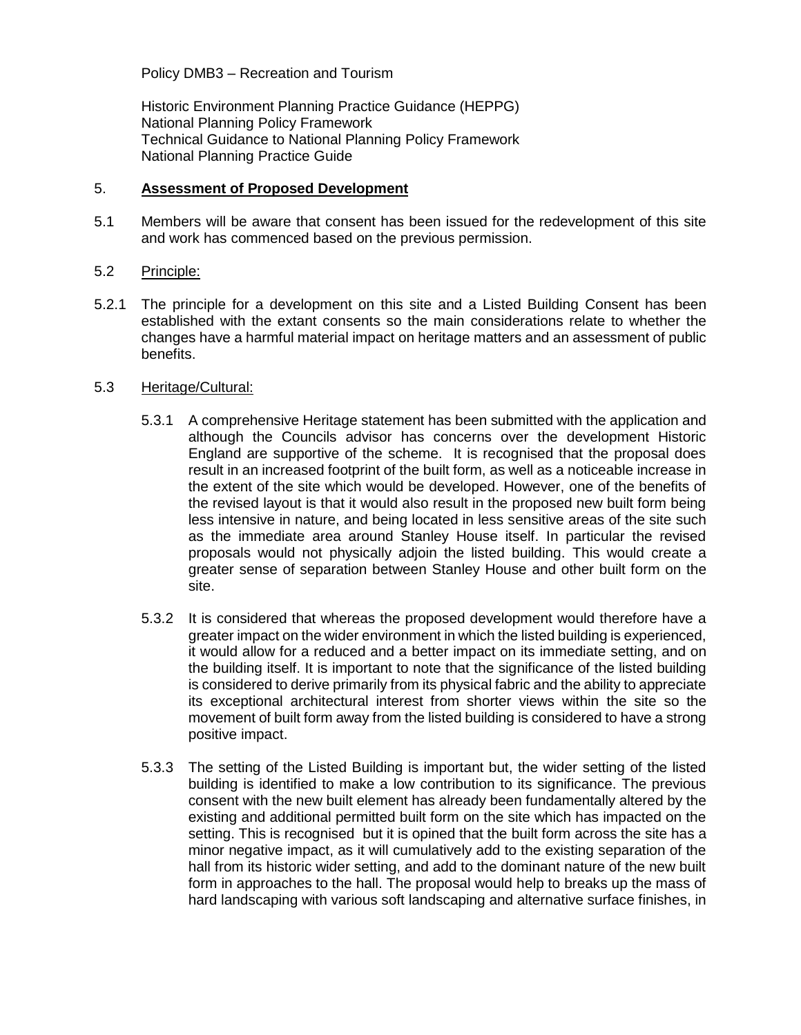Policy DMB3 – Recreation and Tourism

Historic Environment Planning Practice Guidance (HEPPG) National Planning Policy Framework Technical Guidance to National Planning Policy Framework National Planning Practice Guide

#### 5. **Assessment of Proposed Development**

5.1 Members will be aware that consent has been issued for the redevelopment of this site and work has commenced based on the previous permission.

### 5.2 Principle:

5.2.1 The principle for a development on this site and a Listed Building Consent has been established with the extant consents so the main considerations relate to whether the changes have a harmful material impact on heritage matters and an assessment of public benefits.

### 5.3 Heritage/Cultural:

- 5.3.1 A comprehensive Heritage statement has been submitted with the application and although the Councils advisor has concerns over the development Historic England are supportive of the scheme. It is recognised that the proposal does result in an increased footprint of the built form, as well as a noticeable increase in the extent of the site which would be developed. However, one of the benefits of the revised layout is that it would also result in the proposed new built form being less intensive in nature, and being located in less sensitive areas of the site such as the immediate area around Stanley House itself. In particular the revised proposals would not physically adjoin the listed building. This would create a greater sense of separation between Stanley House and other built form on the site.
- 5.3.2 It is considered that whereas the proposed development would therefore have a greater impact on the wider environment in which the listed building is experienced, it would allow for a reduced and a better impact on its immediate setting, and on the building itself. It is important to note that the significance of the listed building is considered to derive primarily from its physical fabric and the ability to appreciate its exceptional architectural interest from shorter views within the site so the movement of built form away from the listed building is considered to have a strong positive impact.
- 5.3.3 The setting of the Listed Building is important but, the wider setting of the listed building is identified to make a low contribution to its significance. The previous consent with the new built element has already been fundamentally altered by the existing and additional permitted built form on the site which has impacted on the setting. This is recognised but it is opined that the built form across the site has a minor negative impact, as it will cumulatively add to the existing separation of the hall from its historic wider setting, and add to the dominant nature of the new built form in approaches to the hall. The proposal would help to breaks up the mass of hard landscaping with various soft landscaping and alternative surface finishes, in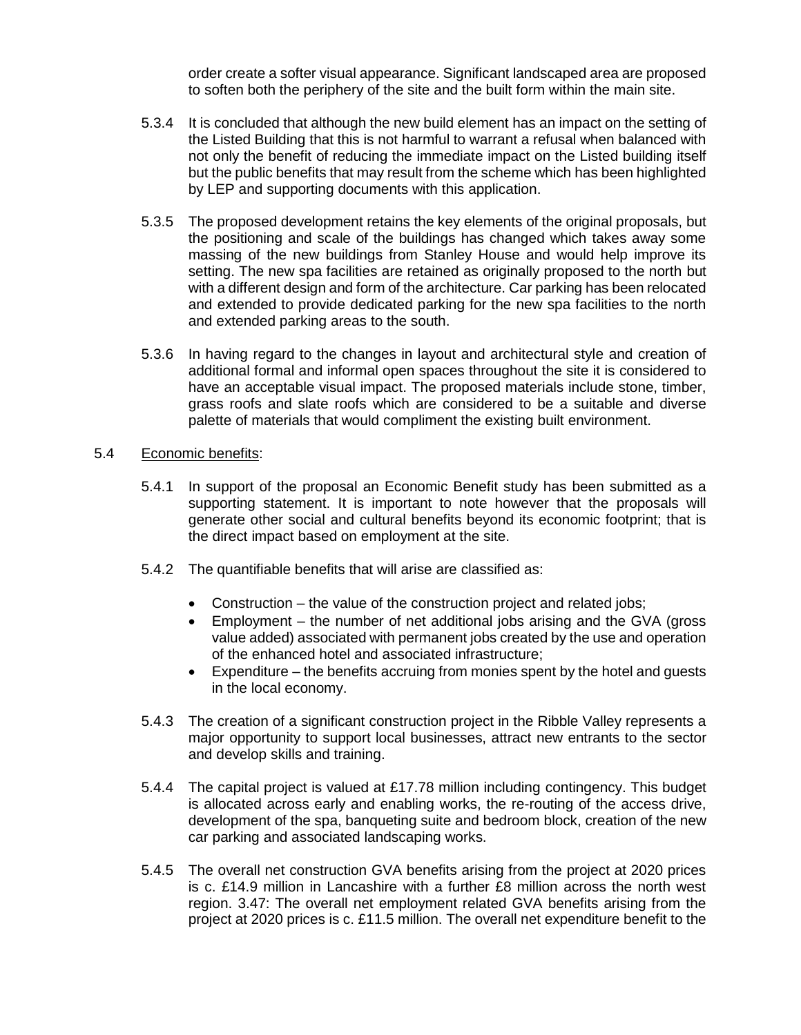order create a softer visual appearance. Significant landscaped area are proposed to soften both the periphery of the site and the built form within the main site.

- 5.3.4 It is concluded that although the new build element has an impact on the setting of the Listed Building that this is not harmful to warrant a refusal when balanced with not only the benefit of reducing the immediate impact on the Listed building itself but the public benefits that may result from the scheme which has been highlighted by LEP and supporting documents with this application.
- 5.3.5 The proposed development retains the key elements of the original proposals, but the positioning and scale of the buildings has changed which takes away some massing of the new buildings from Stanley House and would help improve its setting. The new spa facilities are retained as originally proposed to the north but with a different design and form of the architecture. Car parking has been relocated and extended to provide dedicated parking for the new spa facilities to the north and extended parking areas to the south.
- 5.3.6 In having regard to the changes in layout and architectural style and creation of additional formal and informal open spaces throughout the site it is considered to have an acceptable visual impact. The proposed materials include stone, timber, grass roofs and slate roofs which are considered to be a suitable and diverse palette of materials that would compliment the existing built environment.

### 5.4 Economic benefits:

- 5.4.1 In support of the proposal an Economic Benefit study has been submitted as a supporting statement. It is important to note however that the proposals will generate other social and cultural benefits beyond its economic footprint; that is the direct impact based on employment at the site.
- 5.4.2 The quantifiable benefits that will arise are classified as:
	- Construction the value of the construction project and related jobs;
	- Employment the number of net additional jobs arising and the GVA (gross value added) associated with permanent jobs created by the use and operation of the enhanced hotel and associated infrastructure;
	- Expenditure the benefits accruing from monies spent by the hotel and guests in the local economy.
- 5.4.3 The creation of a significant construction project in the Ribble Valley represents a major opportunity to support local businesses, attract new entrants to the sector and develop skills and training.
- 5.4.4 The capital project is valued at £17.78 million including contingency. This budget is allocated across early and enabling works, the re-routing of the access drive, development of the spa, banqueting suite and bedroom block, creation of the new car parking and associated landscaping works.
- 5.4.5 The overall net construction GVA benefits arising from the project at 2020 prices is c. £14.9 million in Lancashire with a further £8 million across the north west region. 3.47: The overall net employment related GVA benefits arising from the project at 2020 prices is c. £11.5 million. The overall net expenditure benefit to the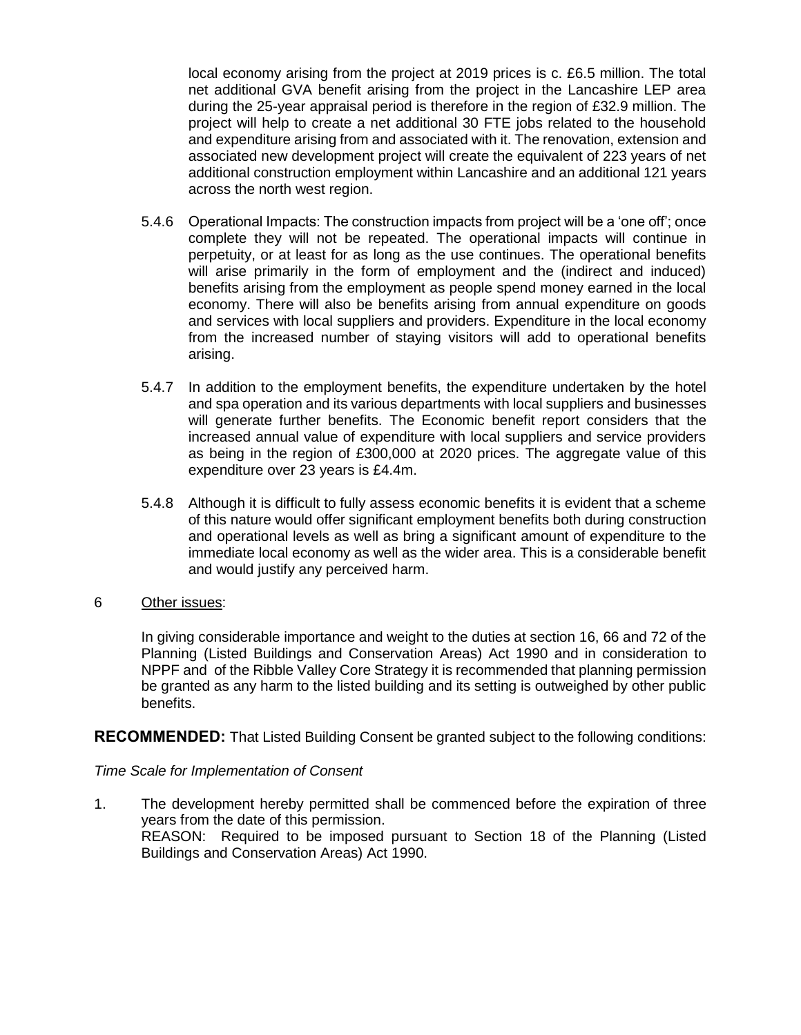local economy arising from the project at 2019 prices is c. £6.5 million. The total net additional GVA benefit arising from the project in the Lancashire LEP area during the 25-year appraisal period is therefore in the region of £32.9 million. The project will help to create a net additional 30 FTE jobs related to the household and expenditure arising from and associated with it. The renovation, extension and associated new development project will create the equivalent of 223 years of net additional construction employment within Lancashire and an additional 121 years across the north west region.

- 5.4.6 Operational Impacts: The construction impacts from project will be a 'one off'; once complete they will not be repeated. The operational impacts will continue in perpetuity, or at least for as long as the use continues. The operational benefits will arise primarily in the form of employment and the (indirect and induced) benefits arising from the employment as people spend money earned in the local economy. There will also be benefits arising from annual expenditure on goods and services with local suppliers and providers. Expenditure in the local economy from the increased number of staying visitors will add to operational benefits arising.
- 5.4.7 In addition to the employment benefits, the expenditure undertaken by the hotel and spa operation and its various departments with local suppliers and businesses will generate further benefits. The Economic benefit report considers that the increased annual value of expenditure with local suppliers and service providers as being in the region of £300,000 at 2020 prices. The aggregate value of this expenditure over 23 years is £4.4m.
- 5.4.8 Although it is difficult to fully assess economic benefits it is evident that a scheme of this nature would offer significant employment benefits both during construction and operational levels as well as bring a significant amount of expenditure to the immediate local economy as well as the wider area. This is a considerable benefit and would justify any perceived harm.

### 6 Other issues:

In giving considerable importance and weight to the duties at section 16, 66 and 72 of the Planning (Listed Buildings and Conservation Areas) Act 1990 and in consideration to NPPF and of the Ribble Valley Core Strategy it is recommended that planning permission be granted as any harm to the listed building and its setting is outweighed by other public benefits.

**RECOMMENDED:** That Listed Building Consent be granted subject to the following conditions:

#### *Time Scale for Implementation of Consent*

1. The development hereby permitted shall be commenced before the expiration of three years from the date of this permission. REASON: Required to be imposed pursuant to Section 18 of the Planning (Listed Buildings and Conservation Areas) Act 1990.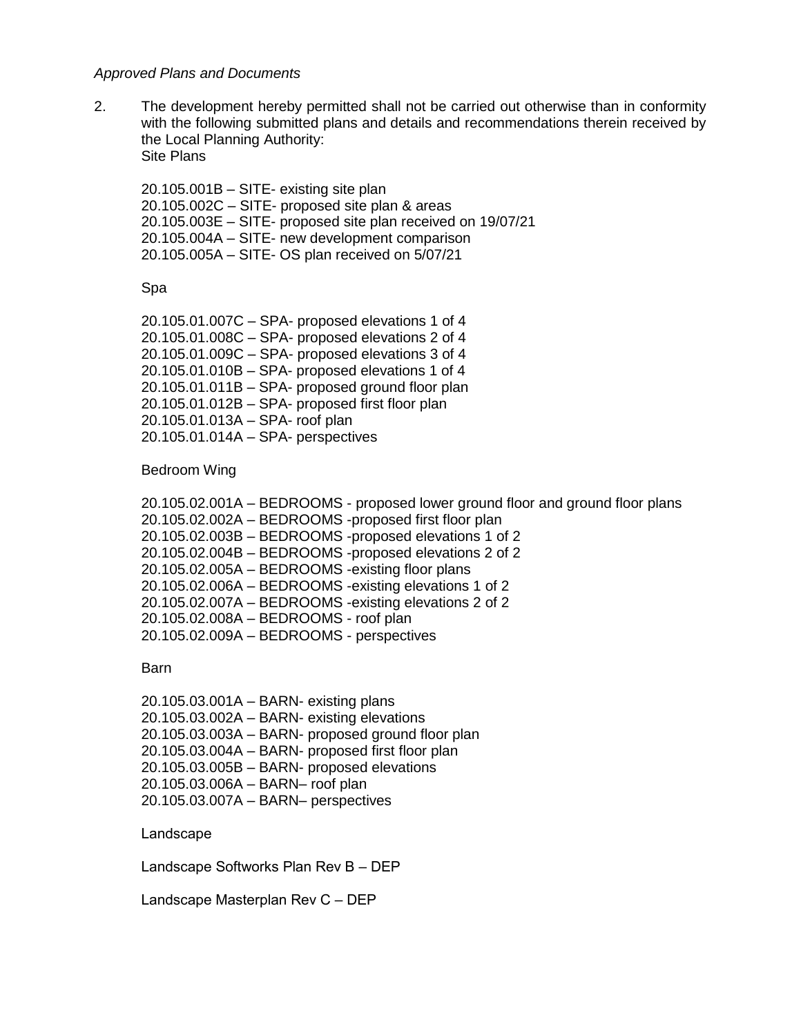#### *Approved Plans and Documents*

2. The development hereby permitted shall not be carried out otherwise than in conformity with the following submitted plans and details and recommendations therein received by the Local Planning Authority: Site Plans

20.105.001B – SITE- existing site plan 20.105.002C – SITE- proposed site plan & areas 20.105.003E – SITE- proposed site plan received on 19/07/21 20.105.004A – SITE- new development comparison 20.105.005A – SITE- OS plan received on 5/07/21

#### Spa

20.105.01.007C – SPA- proposed elevations 1 of 4 20.105.01.008C – SPA- proposed elevations 2 of 4 20.105.01.009C – SPA- proposed elevations 3 of 4 20.105.01.010B – SPA- proposed elevations 1 of 4 20.105.01.011B – SPA- proposed ground floor plan 20.105.01.012B – SPA- proposed first floor plan 20.105.01.013A – SPA- roof plan 20.105.01.014A – SPA- perspectives

#### Bedroom Wing

20.105.02.001A – BEDROOMS - proposed lower ground floor and ground floor plans 20.105.02.002A – BEDROOMS -proposed first floor plan 20.105.02.003B – BEDROOMS -proposed elevations 1 of 2 20.105.02.004B – BEDROOMS -proposed elevations 2 of 2 20.105.02.005A – BEDROOMS -existing floor plans 20.105.02.006A – BEDROOMS -existing elevations 1 of 2 20.105.02.007A – BEDROOMS -existing elevations 2 of 2 20.105.02.008A – BEDROOMS - roof plan 20.105.02.009A – BEDROOMS - perspectives

#### **Barn**

20.105.03.001A – BARN- existing plans 20.105.03.002A – BARN- existing elevations 20.105.03.003A – BARN- proposed ground floor plan 20.105.03.004A – BARN- proposed first floor plan 20.105.03.005B – BARN- proposed elevations 20.105.03.006A – BARN– roof plan 20.105.03.007A – BARN– perspectives

Landscape

Landscape Softworks Plan Rev B – DEP

Landscape Masterplan Rev C – DEP